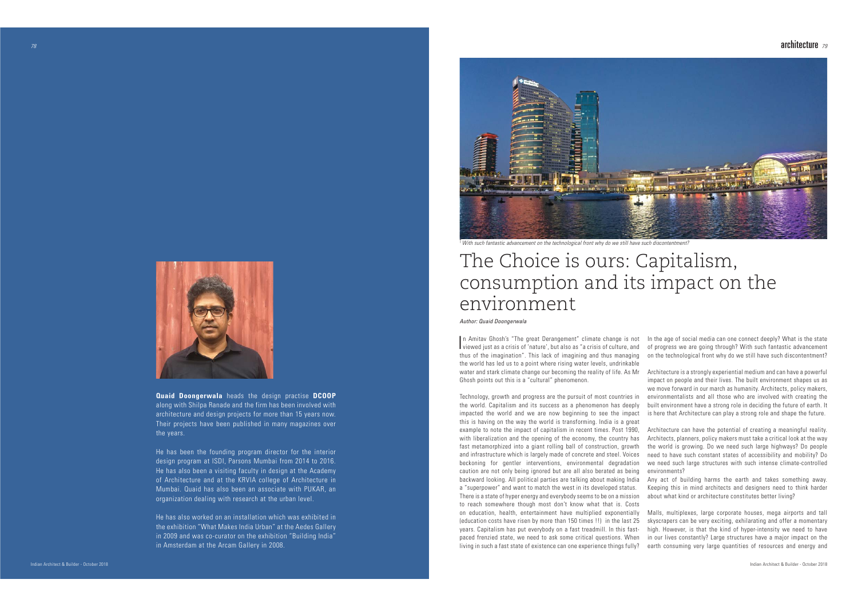

Author: Quaid Doongerwala

Indian Architect & Builder - October 2018

## architecture  $\it$  79  $\it$

## The Choice is ours: Capitalism, consumption and its impact on the environment



With such fantastic advancement on the technological front why do we still have such discontentment? -

**Quaid Doongerwala** heads the design practise **DCOOP**  along with Shilpa Ranade and the firm has been involved with architecture and design projects for more than 15 years now. Their projects have been published in many magazines over the years.

He has been the founding program director for the interior design program at ISDI, Parsons Mumbai from 2014 to 2016. He has also been a visiting faculty in design at the Academy of Architecture and at the KRVIA college of Architecture in Mumbai. Quaid has also been an associate with PUKAR, an organization dealing with research at the urban level.

He has also worked on an installation which was exhibited in the exhibition "What Makes India Urban" at the Aedes Gallery in 2009 and was co-curator on the exhibition "Building India" in Amsterdam at the Arcam Gallery in 2008.

In Amitav Ghosh's "The great Derangement" climate change is not viewed just as a crisis of 'nature', but also as "a crisis of culture, and thus of the imagination". This lack of imagining and thus managing the world has led us to a point where rising water levels, undrinkable water and stark climate change our becoming the reality of life. As Mr Ghosh points out this is a "cultural" phenomenon. In the age of social media can one connect deeply? What is the state of progress we are going through? With such fantastic advancement on the technological front why do we still have such discontentment? Architecture is a strongly experiential medium and can have a powerful impact on people and their lives. The built environment shapes us as

Technology, growth and progress are the pursuit of most countries in the world. Capitalism and its success as a phenomenon has deeply impacted the world and we are now beginning to see the impact this is having on the way the world is transforming. India is a great example to note the impact of capitalism in recent times. Post 1990, with liberalization and the opening of the economy, the country has fast metamorphized into a giant rolling ball of construction, growth and infrastructure which is largely made of concrete and steel. Voices beckoning for gentler interventions, environmental degradation caution are not only being ignored but are all also berated as being backward looking. All political parties are talking about making India <sup>a</sup>"superpower" and want to match the west in its developed status. There is a state of hyper energy and everybody seems to be on a mission to reach somewhere though most don't know what that is. Costs on education, health, entertainment have multiplied exponentially (education costs have risen by more than 150 times !!) in the last 25 years. Capitalism has put everybody on a fast treadmill. In this fastpaced frenzied state, we need to ask some critical questions. When living in such a fast state of existence can one experience things fully? environmentalists and all those who are involved with creating the built environment have a strong role in deciding the future of earth. It is here that Architecture can play a strong role and shape the future. Architecture can have the potential of creating a meaningful reality. Architects, planners, policy makers must take a critical look at the way the world is growing. Do we need such large highways? Do people need to have such constant states of accessibility and mobility? Do we need such large structures with such intense climate-controlled environments? Any act of building harms the earth and takes something away. Keeping this in mind architects and designers need to think harder about what kind or architecture constitutes better living? Malls, multiplexes, large corporate houses, mega airports and tall skyscrapers can be very exciting, exhilarating and offer a momentary high. However, is that the kind of hyper-intensity we need to have in our lives constantly? Large structures have a major impact on the earth consuming very large quantities of resources and energy and

we move forward in our march as humanity. Architects, policy makers,